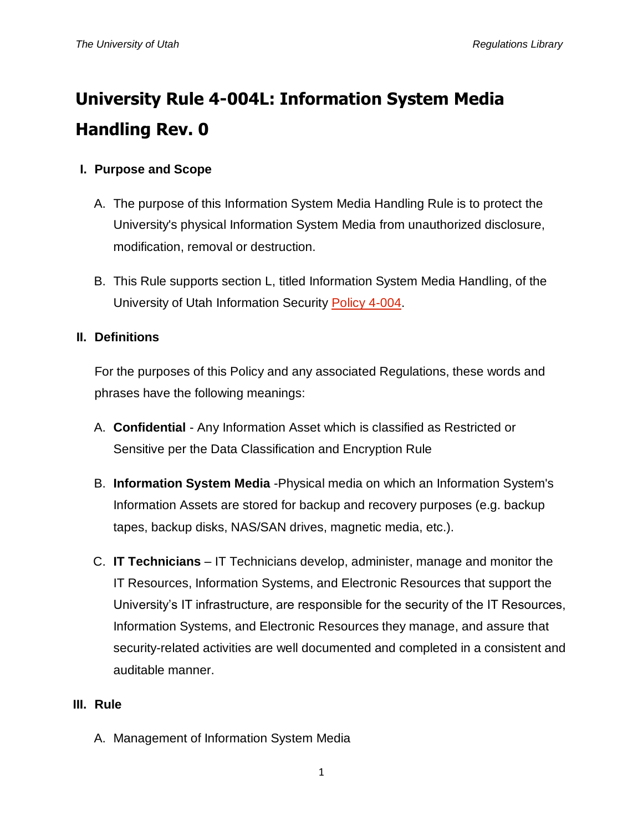# **University Rule 4-004L: Information System Media Handling Rev. 0**

## **I. Purpose and Scope**

- A. The purpose of this Information System Media Handling Rule is to protect the University's physical Information System Media from unauthorized disclosure, modification, removal or destruction.
- B. This Rule supports section L, titled Information System Media Handling, of the University of Utah Information Security [Policy 4-004.](http://regulations.utah.edu/it/4-004.php)

## **II. Definitions**

For the purposes of this Policy and any associated Regulations, these words and phrases have the following meanings:

- A. **Confidential** Any Information Asset which is classified as Restricted or Sensitive per the Data Classification and Encryption Rule
- B. **Information System Media** -Physical media on which an Information System's Information Assets are stored for backup and recovery purposes (e.g. backup tapes, backup disks, NAS/SAN drives, magnetic media, etc.).
- C. **IT Technicians** IT Technicians develop, administer, manage and monitor the IT Resources, Information Systems, and Electronic Resources that support the University's IT infrastructure, are responsible for the security of the IT Resources, Information Systems, and Electronic Resources they manage, and assure that security-related activities are well documented and completed in a consistent and auditable manner.

## **III. Rule**

A. Management of Information System Media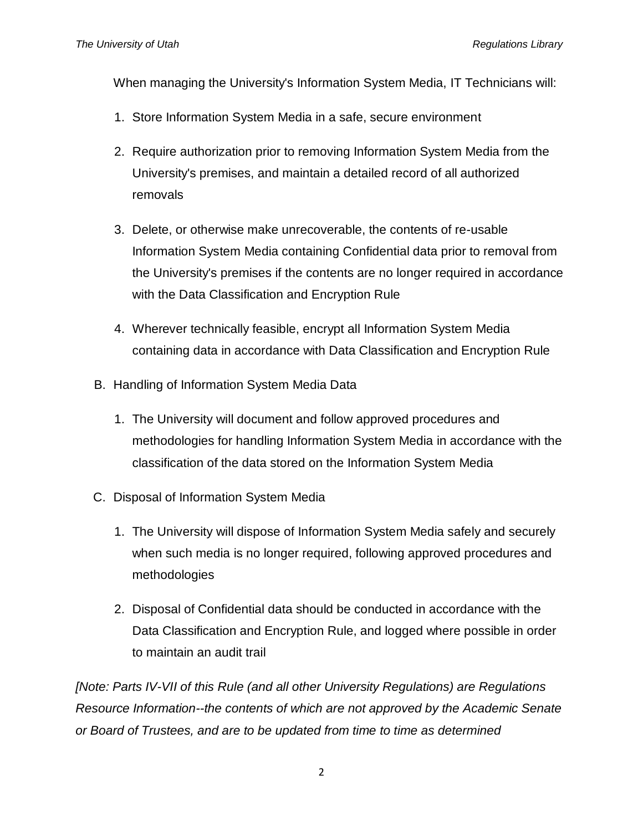When managing the University's Information System Media, IT Technicians will:

- 1. Store Information System Media in a safe, secure environment
- 2. Require authorization prior to removing Information System Media from the University's premises, and maintain a detailed record of all authorized removals
- 3. Delete, or otherwise make unrecoverable, the contents of re-usable Information System Media containing Confidential data prior to removal from the University's premises if the contents are no longer required in accordance with the Data Classification and Encryption Rule
- 4. Wherever technically feasible, encrypt all Information System Media containing data in accordance with Data Classification and Encryption Rule
- B. Handling of Information System Media Data
	- 1. The University will document and follow approved procedures and methodologies for handling Information System Media in accordance with the classification of the data stored on the Information System Media
- C. Disposal of Information System Media
	- 1. The University will dispose of Information System Media safely and securely when such media is no longer required, following approved procedures and methodologies
	- 2. Disposal of Confidential data should be conducted in accordance with the Data Classification and Encryption Rule, and logged where possible in order to maintain an audit trail

*[Note: Parts IV-VII of this Rule (and all other University Regulations) are Regulations Resource Information--the contents of which are not approved by the Academic Senate or Board of Trustees, and are to be updated from time to time as determined*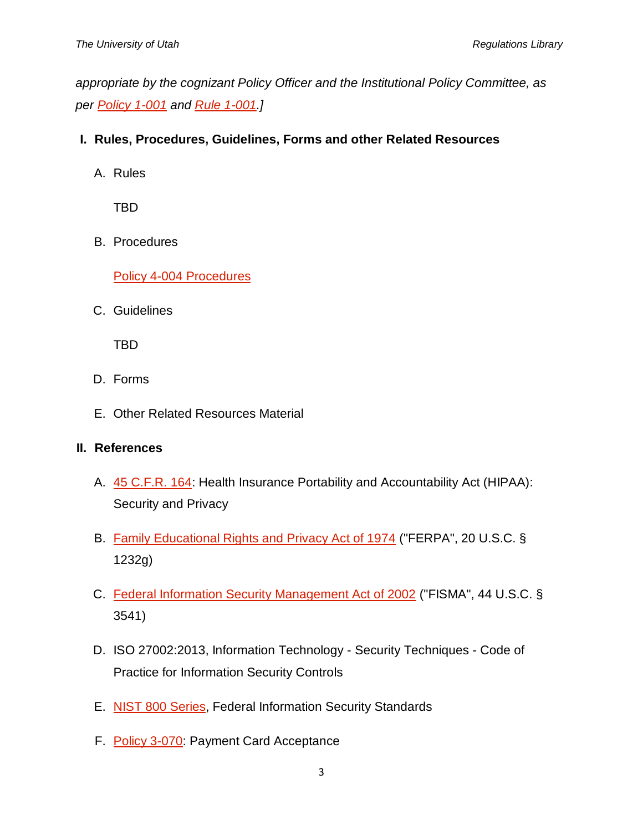*appropriate by the cognizant Policy Officer and the Institutional Policy Committee, as per [Policy 1-001](http://regulations.utah.edu/general/1-001.php) and [Rule 1-001.](http://regulations.utah.edu/general/rules/R1-001.php)]*

- **I. Rules, Procedures, Guidelines, Forms and other Related Resources**
	- A. Rules

TBD

B. Procedures

[Policy 4-004 Procedures](https://uofu.box.com/v/Procedures)

C. Guidelines

TBD

- D. Forms
- E. Other Related Resources Material

### **II. References**

- A. [45 C.F.R. 164:](http://www.gpo.gov/fdsys/pkg/CFR-2011-title45-vol1/pdf/CFR-2011-title45-vol1-part164.pdf) Health Insurance Portability and Accountability Act (HIPAA): Security and Privacy
- B. [Family Educational Rights and Privacy Act of 1974](http://www2.ed.gov/policy/gen/guid/fpco/ferpa/index.html) ("FERPA", 20 U.S.C. § 1232g)
- C. [Federal Information Security Management Act of 2002](http://www.dhs.gov/federal-information-security-management-act-fisma) ("FISMA", 44 U.S.C. § 3541)
- D. ISO 27002:2013, Information Technology Security Techniques Code of Practice for Information Security Controls
- E. [NIST 800 Series,](http://csrc.nist.gov/publications/PubsSPs.html) Federal Information Security Standards
- F. [Policy 3-070:](http://regulations.utah.edu/administration/3-070.php) Payment Card Acceptance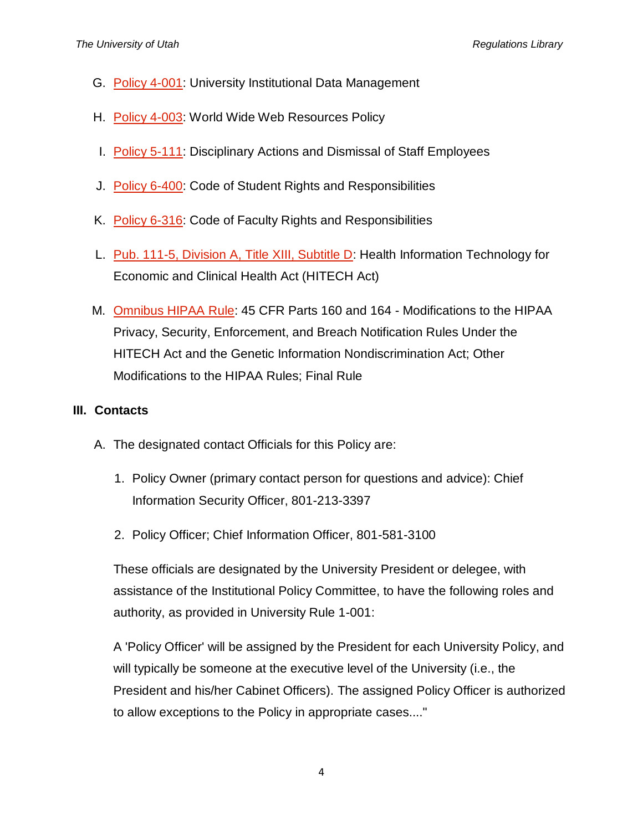- G. [Policy 4-001:](http://regulations.utah.edu/it/4-001.php) University Institutional Data Management
- H. [Policy 4-003:](http://regulations.utah.edu/it/4-003.php) World Wide Web Resources Policy
- I. [Policy 5-111:](http://regulations.utah.edu/human-resources/5-111.php) Disciplinary Actions and Dismissal of Staff Employees
- J. [Policy 6-400:](http://regulations.utah.edu/academics/6-400.php) Code of Student Rights and Responsibilities
- K. [Policy 6-316:](http://regulations.utah.edu/academics/6-316.php) Code of Faculty Rights and Responsibilities
- L. [Pub. 111-5, Division A, Title XIII, Subtitle D:](http://www.hhs.gov/ocr/privacy/hipaa/understanding/coveredentities/hitechact.pdf) Health Information Technology for Economic and Clinical Health Act (HITECH Act)
- M. [Omnibus HIPAA Rule:](http://www.gpo.gov/fdsys/pkg/FR-2013-01-25/pdf/2013-01073.pdf) 45 CFR Parts 160 and 164 Modifications to the HIPAA Privacy, Security, Enforcement, and Breach Notification Rules Under the HITECH Act and the Genetic Information Nondiscrimination Act; Other Modifications to the HIPAA Rules; Final Rule

### **III. Contacts**

- A. The designated contact Officials for this Policy are:
	- 1. Policy Owner (primary contact person for questions and advice): Chief Information Security Officer, 801-213-3397
	- 2. Policy Officer; Chief Information Officer, 801-581-3100

These officials are designated by the University President or delegee, with assistance of the Institutional Policy Committee, to have the following roles and authority, as provided in University Rule 1-001:

A 'Policy Officer' will be assigned by the President for each University Policy, and will typically be someone at the executive level of the University (i.e., the President and his/her Cabinet Officers). The assigned Policy Officer is authorized to allow exceptions to the Policy in appropriate cases...."